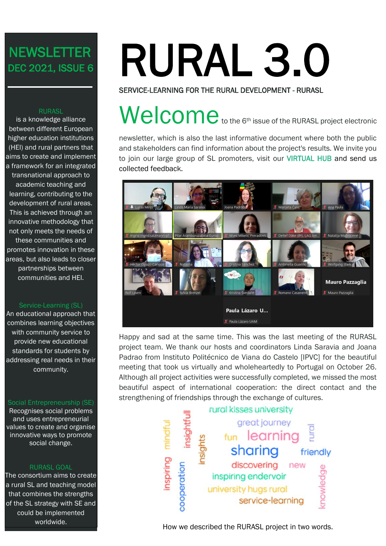## **NEWSLETTER** DEC 2021, ISSUE 6

#### **RURASL**

is a knowledge alliance between different European higher education institutions (HEI) and rural partners that aims to create and implement a framework for an integrated transnational approach to academic teaching and learning, contributing to the development of rural areas. This is achieved through an innovative methodology that not only meets the needs of these communities and promotes innovation in these areas, but also leads to closer partnerships between communities and HEI.

#### Service-Learning (SL)

An educational approach that combines learning objectives with community service to provide new educational standards for students by addressing real needs in their community.

#### Social Entrepreneurship (SE)

Recognises social problems and uses entrepreneurial values to create and organise innovative ways to promote social change.

#### RURASL GOAL

The consortium aims to create a rural SL and teaching model that combines the strengths of the SL strategy with SE and could be implemented worldwide.

# RURAL 3.0 SERVICE-LEARNING FOR THE RURAL DEVELOPMENT - RURASL

## Welcometo to the 6<sup>th</sup> issue of the RURASL project electronic

newsletter, which is also the last informative document where both the public and stakeholders can find information about the project's results. We invite you to join our large group of SL promoters, visit our [VIRTUAL HUB](http://hub.rural.ffzg.hr/) and send us collected feedback.



Happy and sad at the same time. This was the last meeting of the RURASL project team. We thank our hosts and coordinators Linda Saravia and Joana Padrao from Instituto Politécnico de Viana do Castelo [IPVC] for the beautiful meeting that took us virtually and wholeheartedly to Portugal on October 26. Although all project activities were successfully completed, we missed the most beautiful aspect of international cooperation: the direct contact and the strengthening of friendships through the exchange of cultures.



How we described the RURASL project in two words.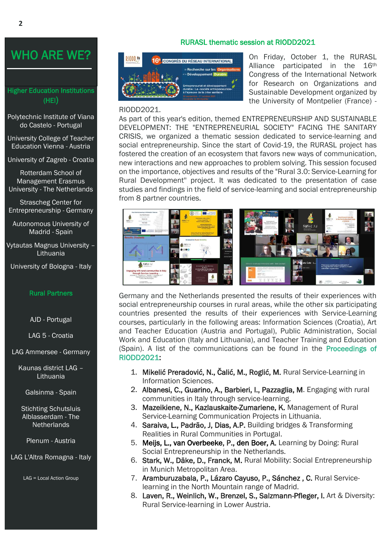## WHO ARE WE?

#### Higher Education Institutions (HEI)

Polytechnic Institute of Viana do Castelo - Portugal

University College of Teacher Education Vienna - Austria

University of Zagreb - Croatia

Rotterdam School of Management Erasmus University - The Netherlands

Strascheg Center for Entrepreneurship - Germany

Autonomous University of Madrid - Spain

Vytautas Magnus University – Lithuania

University of Bologna - Italy

#### Rural Partners

AJD - Portugal

LAG 5 - Croatia

LAG Ammersee - Germany

Kaunas district LAG – Lithuania

Galsinma - Spain

Stichting Schutsluis Alblasserdam - The **Netherlands** 

Plenum - Austria

LAG L'Altra Romagna - Italy

LAG = Local Action Group

#### RURASL thematic session at RIODD2021



On Friday, October 1, the RURASL Alliance participated in the 16th Congress of the International Network for Research on Organizations and Sustainable Development organized by the University of Montpelier (France) -

#### RIODD2021.

As part of this year's edition, themed ENTREPRENEURSHIP AND SUSTAINABLE DEVELOPMENT: THE "ENTREPRENEURIAL SOCIETY" FACING THE SANITARY CRISIS, we organized a thematic session dedicated to service-learning and social entrepreneurship. Since the start of Covid-19, the RURASL project has fostered the creation of an ecosystem that favors new ways of communication, new interactions and new approaches to problem solving. This session focused on the importance, objectives and results of the "Rural 3.0: Service-Learning for Rural Development'' project. It was dedicated to the presentation of case studies and findings in the field of service-learning and social entrepreneurship from 8 partner countries.



Germany and the Netherlands presented the results of their experiences with social entrepreneurship courses in rural areas, while the other six participating countries presented the results of their experiences with Service-Learning courses, particularly in the following areas: Information Sciences (Croatia), Art and Teacher Education (Austria and Portugal), Public Administration, Social Work and Education (Italy and Lithuania), and Teacher Training and Education (Spain). A list of the communications can be found in the [Proceedings of](https://labex-entreprendre.edu.umontpellier.fr/15e-congres-du-reseau-international-de-recherche-sur-les-organisations-et-de-developpement-durable/)  [RIODD2021:](https://labex-entreprendre.edu.umontpellier.fr/15e-congres-du-reseau-international-de-recherche-sur-les-organisations-et-de-developpement-durable/)

- 1. Mikelić Preradović, N., Čalić, M., Roglić, M. Rural Service-Learning in Information Sciences.
- 2. Albanesi, C., Guarino, A., Barbieri, I., Pazzaglia, M. Engaging with rural communities in Italy through service-learning.
- 3. Mazeikiene, N., Kazlauskaite-Zumariene, K. Management of Rural Service-Learning Communication Projects in Lithuania.
- 4. Saraiva, L., Padrão, J, Dias, A.P. Building bridges & Transforming Realities in Rural Communities in Portugal.
- 5. Meijs, L., van Overbeeke, P., den Boer, A. Learning by Doing: Rural Social Entrepreneurship in the Netherlands.
- 6. Stark, W., Däke, D., Franck, M. Rural Mobility: Social Entrepreneurship in Munich Metropolitan Area.
- 7. Aramburuzabala, P., Lázaro Cayuso, P., Sánchez , C. Rural Servicelearning in the North Mountain range of Madrid.
- 8. Laven, R., Weinlich, W., Brenzel, S., Salzmann-Pfleger, I. Art & Diversity: Rural Service-learning in Lower Austria.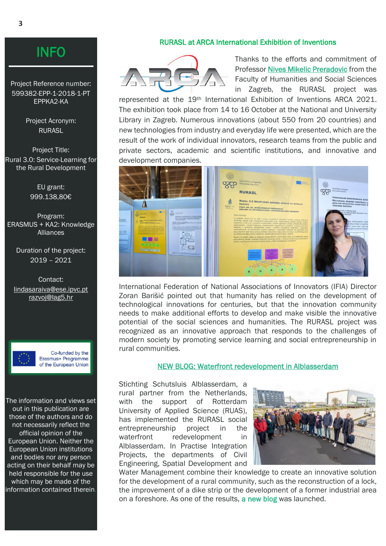#### RURASL at ARCA International Exhibition of Inventions



Thanks to the efforts and commitment of Professor [Nives Mikelic Preradovic](https://inf.ffzg.unizg.hr/index.php/en/17-department/271-nives-mikelic-preradovic) from the Faculty of Humanities and Social Sciences in Zagreb, the RURASL project was

represented at the 19th International Exhibition of Inventions ARCA 2021. The exhibition took place from 14 to 16 October at the National and University Library in Zagreb. Numerous innovations (about 550 from 20 countries) and new technologies from industry and everyday life were presented, which are the result of the work of individual innovators, research teams from the public and private sectors, academic and scientific institutions, and innovative and development companies.

|                                                                                                                                                                                                                                |                                                                                                                                                                                                                                                                                                                                                                                                                                                                                                                                                                                                                                                                              | Sveučilište u Zagrebu<br><b>Common Common Common</b><br>Filozofski fakultet                                                                                                                                                                                                                                                                                                                                                                                                                                                                                                                                                                                                                                                                                                                                                                                                                                                                                                                                                                                                                                                                                                                                                                                                                                                                                                                                                                                                                                                                                                                                                                                                                 |                                                                                                                                                                                                                                                                                                                                                                                             |
|--------------------------------------------------------------------------------------------------------------------------------------------------------------------------------------------------------------------------------|------------------------------------------------------------------------------------------------------------------------------------------------------------------------------------------------------------------------------------------------------------------------------------------------------------------------------------------------------------------------------------------------------------------------------------------------------------------------------------------------------------------------------------------------------------------------------------------------------------------------------------------------------------------------------|---------------------------------------------------------------------------------------------------------------------------------------------------------------------------------------------------------------------------------------------------------------------------------------------------------------------------------------------------------------------------------------------------------------------------------------------------------------------------------------------------------------------------------------------------------------------------------------------------------------------------------------------------------------------------------------------------------------------------------------------------------------------------------------------------------------------------------------------------------------------------------------------------------------------------------------------------------------------------------------------------------------------------------------------------------------------------------------------------------------------------------------------------------------------------------------------------------------------------------------------------------------------------------------------------------------------------------------------------------------------------------------------------------------------------------------------------------------------------------------------------------------------------------------------------------------------------------------------------------------------------------------------------------------------------------------------|---------------------------------------------------------------------------------------------------------------------------------------------------------------------------------------------------------------------------------------------------------------------------------------------------------------------------------------------------------------------------------------------|
|                                                                                                                                                                                                                                |                                                                                                                                                                                                                                                                                                                                                                                                                                                                                                                                                                                                                                                                              | <b>RURASL</b>                                                                                                                                                                                                                                                                                                                                                                                                                                                                                                                                                                                                                                                                                                                                                                                                                                                                                                                                                                                                                                                                                                                                                                                                                                                                                                                                                                                                                                                                                                                                                                                                                                                                               | Sveučilište u Zagrebu<br>Filozofski fakultet                                                                                                                                                                                                                                                                                                                                                |
| ■■<br>$\mathcal{R}^{\mathcal{D}}$<br><b>HURASI</b><br><b><i>A MORTAL</i></b><br>ROAD, 2.0 DAMESTING HORIZON ATTINUE IN MORALE.<br><b>CONTRACTOR</b><br><b>REAL PROPERTY AND REAL PROPERTY CONTINUES.</b><br>--<br><b>BRS66</b> | and the charter<br>$\sigma_{\overline{K}}$ $\sigma_{\overline{K}}$<br><b>Manuscript and incommunication incolarate involves</b><br>Blue Forman, Nowmann (1948) FRANCH HANNER<br><b>BATA FOR EQUIPARED EXERPTING F NOTFAMING</b><br><b>TRACHING MATERIAL</b><br>condition on with the AL Motivated Mary Englands, also, B. (A. Maria Rosso)<br>time with map Marks Ractions<br><b>Britain in announce</b><br>threaten termined pulling embracement alternationally a report<br>allerthanistics, newly or might to take or hardcom analysis area<br>It services excellent market a series with 1 term togethere product hope<br>cash is no considere datos reduzelli collación | <b>RURAL 3.0 DRUSTVENO KORISNO UČENJE ZA RURALNI</b><br>彙<br>RURAL SO<br><b>PROF. DR. SC. NIVES MIKELIC PRERADOVIC</b><br><b>Allen Street, California</b><br><b>ODSJEK ZA INFORMACIJSKE I KOMUNIKACIJSKE ZNANOSTI</b><br>Opis inovacije<br>U projektu Rural 3.0 se radi o prvom europskom virtualnom čvorištu ruralnog društveno<br>korisnog učenja koje omogućava uparivanje (eng. matchmaking) potreba dionika ruratnih<br>zajednica (LAG-ova, nevladinih organizacija, ruralnih agencija i udruga, predstavnika lokalne<br>samouprave i javnih institucija, profesionalnih organizacija i sindikata, ruralnog poslovnog<br>sektora) s ponudom akademskih znanja i vještina sveučilišnih studenata i nastavnika<br>Zainteresiranih za partnerstvo ruralne zajednice i sveučilišta. Algoritam za uparivanje nuti<br>skup ključnih riječi koje opisuju potrebe i stručnost svakog člana (ruralnog i sveučilišnog) da bi<br>se otkrile potrebe ruralne zajednice i akademska poruda znanja i vještina.<br>Rural 3.0 sadrži i alate za digitalno učenje MOOC, onine World Café, novi akademski modul<br>koji pokriva ishode ruralnog društveno korisnog učenja i ruralnog društvenog poduzetništva<br>(learn, rural, ffzg, hr) te primjere dobrih praksi u 8 EU zemalja (hub rural, ffzg, hr).<br><b>Website Matchmeking</b><br><b>Carryl and advanced by</b><br><b>Hub and database of</b><br>A learning tools<br>Arastemic module<br>Manhara and Experts<br>applied<br>on rural service<br>in Bund Service<br>vicely developed<br>learning and socia<br>learning and Social<br>and stores for<br><b>Antisprensiandi</b><br>Extrapranautship<br><b><i><u>Adanging</u></i></b> irra<br>τ<br>R | <b>VIŠEMODALNO KONSTRUIRANJE JEZIĆI</b><br>MULTIMODAL MEANING CONSTRUAL; LI<br>DATA FOR DEVELOPING COGNITIVELY M<br><b>TEACHING MATERIAL</b><br>grof, dr. sc. Renata Geld<br>dr. sc. Mateusz-Milan Stanojević, doc.<br>ta Sarčanin<br>tinog značenja doprinos učenika<br>op pristup temelien na kognitivnin<br>Marosti o odnosu jezika i općih kogr<br>principal disebut postpiech udibenia |

International Federation of National Associations of Innovators (IFIA) Director Zoran Barišić pointed out that humanity has relied on the development of technological innovations for centuries, but that the innovation community needs to make additional efforts to develop and make visible the innovative potential of the social sciences and humanities. The RURASL project was recognized as an innovative approach that responds to the challenges of modern society by promoting service learning and social entrepreneurship in rural communities.

#### [NEW BLOG: Waterfront redevelopment in Alblasserdam](https://www.portcityfutures.nl/news/waterfront-redevelopment-in-alblasserdam)

Stichting Schutsluis Alblasserdam, a rural partner from the Netherlands, with the support of Rotterdam University of Applied Science (RUAS), has implemented the RURASL social entrepreneurship project in the waterfront redevelopment in Alblasserdam. In Practise Integration Projects, the departments of Civil Engineering, Spatial Development and



Water Management combine their knowledge to create an innovative solution for the development of a rural community, such as the reconstruction of a lock, the improvement of a dike strip or the development of a former industrial area on a foreshore. As one of the results, [a new blog](https://www.portcityfutures.nl/news/waterfront-redevelopment-in-alblasserdam) was launched.

Project Reference number: 599382-EPP-1-2018-1-PT EPPKA2-KA

> Project Acronym: RURASL

Project Title: Rural 3.0: Service-Learning for the Rural Development

> EU grant: 999.138,80€

Program: ERASMUS + KA2: Knowledge **Alliances** 

Duration of the project: 2019 – 2021

Contact: lindasaraiva@ese.ipvc.pt [razvoj@lag5.hr](mailto:razvoj@lag5.hr)



Co-funded by the Erasmus+ Programme of the European Union

The information and views set out in this publication are those of the authors and do not necessarily reflect the official opinion of the European Union. Neither the European Union institutions and bodies nor any person acting on their behalf may be held responsible for the use which may be made of the information contained therein.